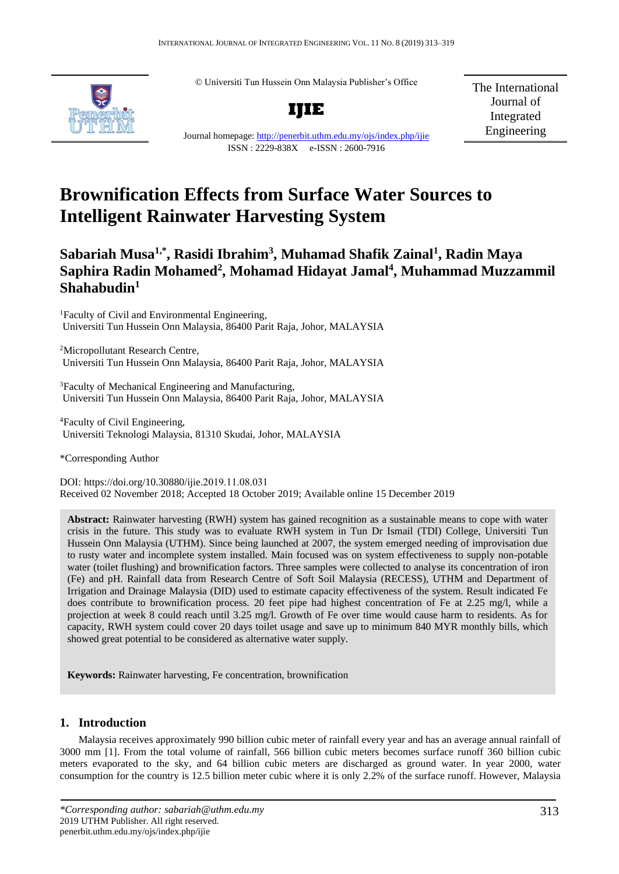© Universiti Tun Hussein Onn Malaysia Publisher's Office



**IJIE**

The International Journal of Integrated Engineering

Journal homepage:<http://penerbit.uthm.edu.my/ojs/index.php/ijie> ISSN : 2229-838X e-ISSN : 2600-7916

# **Brownification Effects from Surface Water Sources to Intelligent Rainwater Harvesting System**

## **Sabariah Musa1,\* , Rasidi Ibrahim<sup>3</sup> , Muhamad Shafik Zainal<sup>1</sup> , Radin Maya Saphira Radin Mohamed<sup>2</sup> , Mohamad Hidayat Jamal<sup>4</sup> , Muhammad Muzzammil Shahabudin<sup>1</sup>**

<sup>1</sup>Faculty of Civil and Environmental Engineering, Universiti Tun Hussein Onn Malaysia, 86400 Parit Raja, Johor, MALAYSIA

<sup>2</sup>Micropollutant Research Centre, Universiti Tun Hussein Onn Malaysia, 86400 Parit Raja, Johor, MALAYSIA

<sup>3</sup>Faculty of Mechanical Engineering and Manufacturing, Universiti Tun Hussein Onn Malaysia, 86400 Parit Raja, Johor, MALAYSIA

<sup>4</sup>Faculty of Civil Engineering, Universiti Teknologi Malaysia, 81310 Skudai, Johor, MALAYSIA

\*Corresponding Author

DOI: https://doi.org/10.30880/ijie.2019.11.08.031 Received 02 November 2018; Accepted 18 October 2019; Available online 15 December 2019

**Abstract:** Rainwater harvesting (RWH) system has gained recognition as a sustainable means to cope with water crisis in the future. This study was to evaluate RWH system in Tun Dr Ismail (TDI) College, Universiti Tun Hussein Onn Malaysia (UTHM). Since being launched at 2007, the system emerged needing of improvisation due to rusty water and incomplete system installed. Main focused was on system effectiveness to supply non-potable water (toilet flushing) and brownification factors. Three samples were collected to analyse its concentration of iron (Fe) and pH. Rainfall data from Research Centre of Soft Soil Malaysia (RECESS), UTHM and Department of Irrigation and Drainage Malaysia (DID) used to estimate capacity effectiveness of the system. Result indicated Fe does contribute to brownification process. 20 feet pipe had highest concentration of Fe at 2.25 mg/l, while a projection at week 8 could reach until 3.25 mg/l. Growth of Fe over time would cause harm to residents. As for capacity, RWH system could cover 20 days toilet usage and save up to minimum 840 MYR monthly bills, which showed great potential to be considered as alternative water supply.

**Keywords:** Rainwater harvesting, Fe concentration, brownification

### **1. Introduction**

Malaysia receives approximately 990 billion cubic meter of rainfall every year and has an average annual rainfall of 3000 mm [1]. From the total volume of rainfall, 566 billion cubic meters becomes surface runoff 360 billion cubic meters evaporated to the sky, and 64 billion cubic meters are discharged as ground water. In year 2000, water consumption for the country is 12.5 billion meter cubic where it is only 2.2% of the surface runoff. However, Malaysia **Keywords:** Keywords: Keywords is usually 3-7, allowed in the susually 3-7, but words is allowed if deep necessary 3-7, but words is allowed if deep necessary 3-7, but words in the susually 3-7, but more is allowed if deep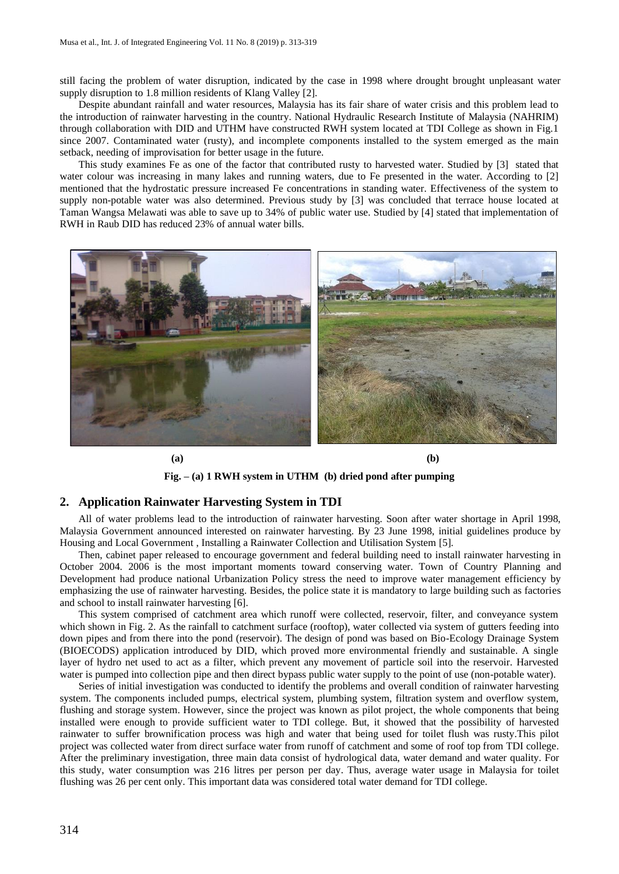still facing the problem of water disruption, indicated by the case in 1998 where drought brought unpleasant water supply disruption to 1.8 million residents of Klang Valley [2].

Despite abundant rainfall and water resources, Malaysia has its fair share of water crisis and this problem lead to the introduction of rainwater harvesting in the country. National Hydraulic Research Institute of Malaysia (NAHRIM) through collaboration with DID and UTHM have constructed RWH system located at TDI College as shown in Fig.1 since 2007. Contaminated water (rusty), and incomplete components installed to the system emerged as the main setback, needing of improvisation for better usage in the future.

This study examines Fe as one of the factor that contributed rusty to harvested water. Studied by [3] stated that water colour was increasing in many lakes and running waters, due to Fe presented in the water. According to [2] mentioned that the hydrostatic pressure increased Fe concentrations in standing water. Effectiveness of the system to supply non-potable water was also determined. Previous study by [3] was concluded that terrace house located at Taman Wangsa Melawati was able to save up to 34% of public water use. Studied by [4] stated that implementation of RWH in Raub DID has reduced 23% of annual water bills.



**(a) (b)** 

**Fig. – (a) 1 RWH system in UTHM (b) dried pond after pumping**

#### **2. Application Rainwater Harvesting System in TDI**

All of water problems lead to the introduction of rainwater harvesting. Soon after water shortage in April 1998, Malaysia Government announced interested on rainwater harvesting. By 23 June 1998, initial guidelines produce by Housing and Local Government , Installing a Rainwater Collection and Utilisation System [5].

Then, cabinet paper released to encourage government and federal building need to install rainwater harvesting in October 2004. 2006 is the most important moments toward conserving water. Town of Country Planning and Development had produce national Urbanization Policy stress the need to improve water management efficiency by emphasizing the use of rainwater harvesting. Besides, the police state it is mandatory to large building such as factories and school to install rainwater harvesting [6].

This system comprised of catchment area which runoff were collected, reservoir, filter, and conveyance system which shown in Fig. 2. As the rainfall to catchment surface (rooftop), water collected via system of gutters feeding into down pipes and from there into the pond (reservoir). The design of pond was based on Bio-Ecology Drainage System (BIOECODS) application introduced by DID, which proved more environmental friendly and sustainable. A single layer of hydro net used to act as a filter, which prevent any movement of particle soil into the reservoir. Harvested water is pumped into collection pipe and then direct bypass public water supply to the point of use (non-potable water).

Series of initial investigation was conducted to identify the problems and overall condition of rainwater harvesting system. The components included pumps, electrical system, plumbing system, filtration system and overflow system, flushing and storage system. However, since the project was known as pilot project, the whole components that being installed were enough to provide sufficient water to TDI college. But, it showed that the possibility of harvested rainwater to suffer brownification process was high and water that being used for toilet flush was rusty.This pilot project was collected water from direct surface water from runoff of catchment and some of roof top from TDI college. After the preliminary investigation, three main data consist of hydrological data, water demand and water quality. For this study, water consumption was 216 litres per person per day. Thus, average water usage in Malaysia for toilet flushing was 26 per cent only. This important data was considered total water demand for TDI college.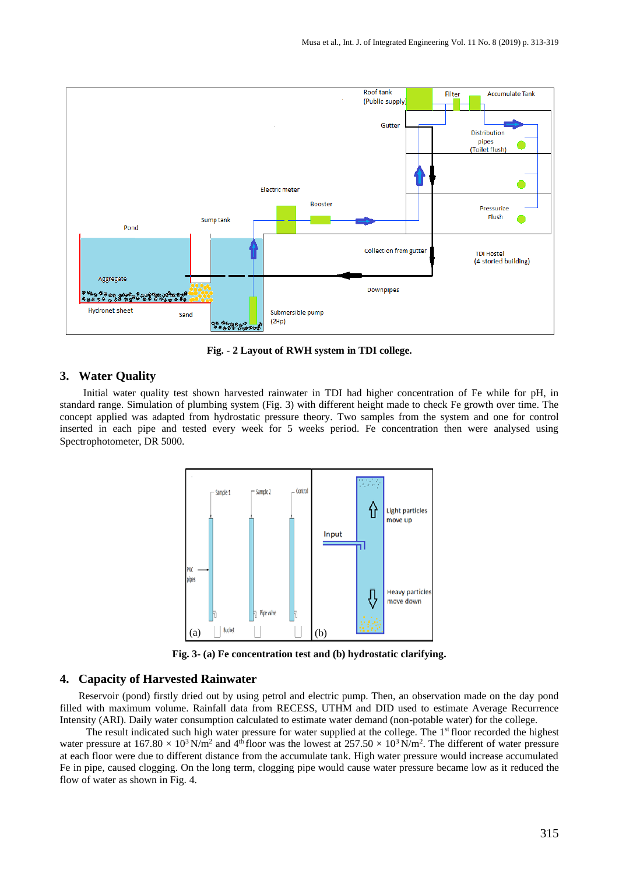

**Fig. - 2 Layout of RWH system in TDI college.**

#### **3. Water Quality**

 Initial water quality test shown harvested rainwater in TDI had higher concentration of Fe while for pH, in standard range. Simulation of plumbing system (Fig. 3) with different height made to check Fe growth over time. The concept applied was adapted from hydrostatic pressure theory. Two samples from the system and one for control inserted in each pipe and tested every week for 5 weeks period. Fe concentration then were analysed using Spectrophotometer, DR 5000.



**Fig. 3- (a) Fe concentration test and (b) hydrostatic clarifying.**

#### **4. Capacity of Harvested Rainwater**

Reservoir (pond) firstly dried out by using petrol and electric pump. Then, an observation made on the day pond filled with maximum volume. Rainfall data from RECESS, UTHM and DID used to estimate Average Recurrence Intensity (ARI). Daily water consumption calculated to estimate water demand (non-potable water) for the college.

The result indicated such high water pressure for water supplied at the college. The 1<sup>st</sup> floor recorded the highest water pressure at  $167.80 \times 10^3$  N/m<sup>2</sup> and 4<sup>th</sup> floor was the lowest at  $257.50 \times 10^3$  N/m<sup>2</sup>. The different of water pressure at each floor were due to different distance from the accumulate tank. High water pressure would increase accumulated Fe in pipe, caused clogging. On the long term, clogging pipe would cause water pressure became low as it reduced the flow of water as shown in Fig. 4.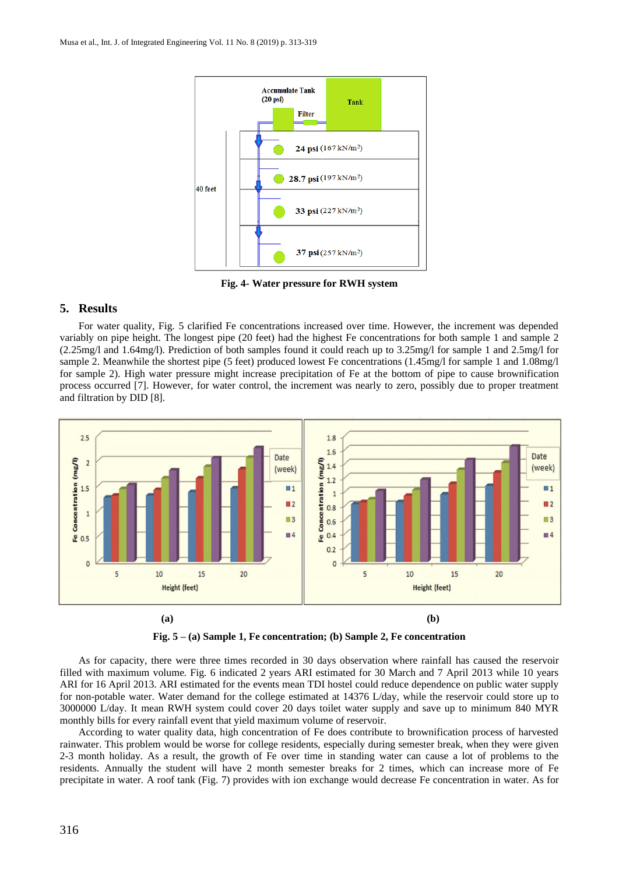

**Fig. 4- Water pressure for RWH system**

#### **5. Results**

For water quality, Fig. 5 clarified Fe concentrations increased over time. However, the increment was depended variably on pipe height. The longest pipe (20 feet) had the highest Fe concentrations for both sample 1 and sample 2 (2.25mg/l and 1.64mg/l). Prediction of both samples found it could reach up to 3.25mg/l for sample 1 and 2.5mg/l for sample 2. Meanwhile the shortest pipe (5 feet) produced lowest Fe concentrations (1.45mg/l for sample 1 and 1.08mg/l for sample 2). High water pressure might increase precipitation of Fe at the bottom of pipe to cause brownification process occurred [7]. However, for water control, the increment was nearly to zero, possibly due to proper treatment and filtration by DID [8].



**Fig. 5 – (a) Sample 1, Fe concentration; (b) Sample 2, Fe concentration**

As for capacity, there were three times recorded in 30 days observation where rainfall has caused the reservoir filled with maximum volume. Fig. 6 indicated 2 years ARI estimated for 30 March and 7 April 2013 while 10 years ARI for 16 April 2013. ARI estimated for the events mean TDI hostel could reduce dependence on public water supply for non-potable water. Water demand for the college estimated at 14376 L/day, while the reservoir could store up to 3000000 L/day. It mean RWH system could cover 20 days toilet water supply and save up to minimum 840 MYR monthly bills for every rainfall event that yield maximum volume of reservoir.

According to water quality data, high concentration of Fe does contribute to brownification process of harvested rainwater. This problem would be worse for college residents, especially during semester break, when they were given 2-3 month holiday. As a result, the growth of Fe over time in standing water can cause a lot of problems to the residents. Annually the student will have 2 month semester breaks for 2 times, which can increase more of Fe precipitate in water. A roof tank (Fig. 7) provides with ion exchange would decrease Fe concentration in water. As for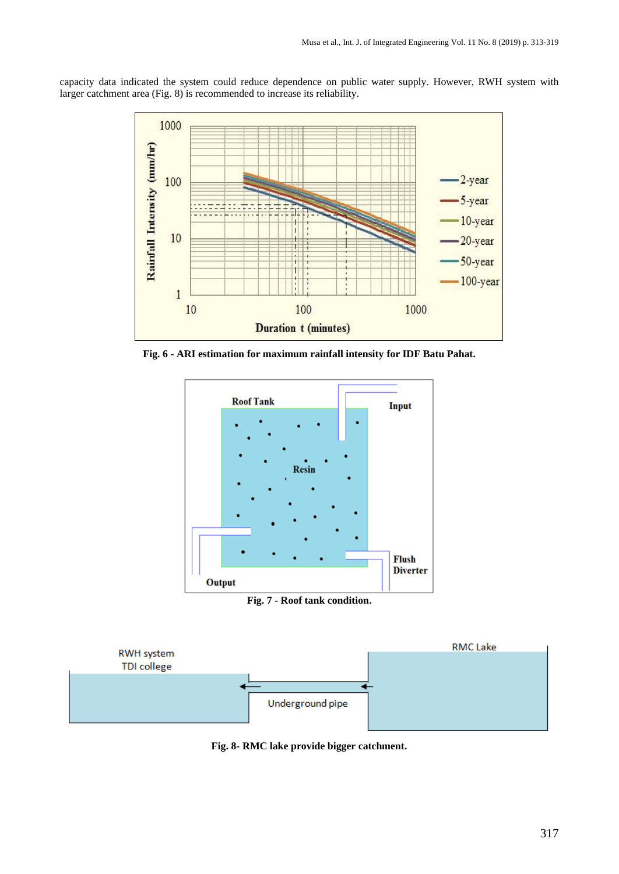capacity data indicated the system could reduce dependence on public water supply. However, RWH system with larger catchment area (Fig. 8) is recommended to increase its reliability.



**Fig. 6 - ARI estimation for maximum rainfall intensity for IDF Batu Pahat.**



**Fig. 7 - Roof tank condition.**



**Fig. 8- RMC lake provide bigger catchment.**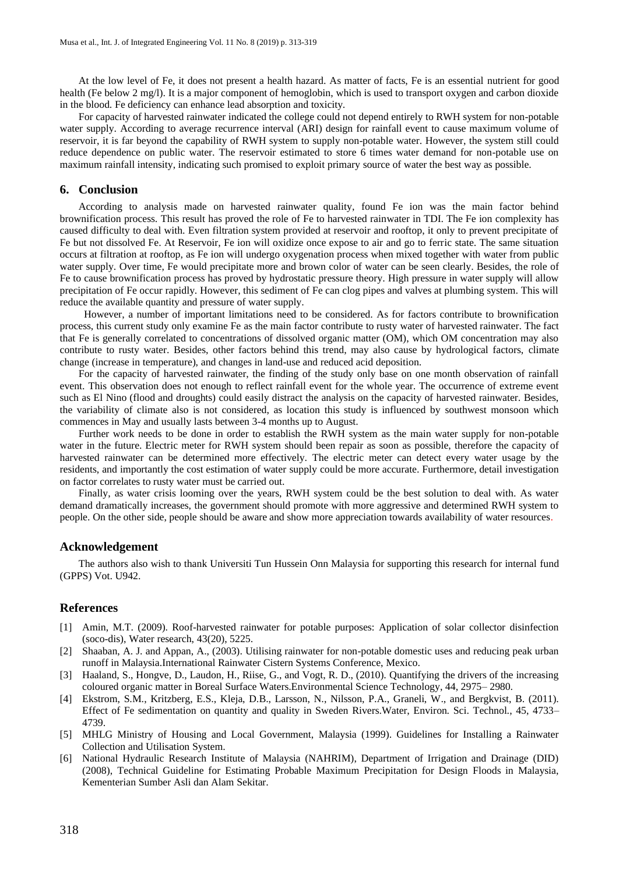At the low level of Fe, it does not present a health hazard. As matter of facts, Fe is an essential nutrient for good health (Fe below 2 mg/l). It is a major component of hemoglobin, which is used to transport oxygen and carbon dioxide in the blood. Fe deficiency can enhance lead absorption and toxicity.

For capacity of harvested rainwater indicated the college could not depend entirely to RWH system for non-potable water supply. According to average recurrence interval (ARI) design for rainfall event to cause maximum volume of reservoir, it is far beyond the capability of RWH system to supply non-potable water. However, the system still could reduce dependence on public water. The reservoir estimated to store 6 times water demand for non-potable use on maximum rainfall intensity, indicating such promised to exploit primary source of water the best way as possible.

#### **6. Conclusion**

According to analysis made on harvested rainwater quality, found Fe ion was the main factor behind brownification process. This result has proved the role of Fe to harvested rainwater in TDI. The Fe ion complexity has caused difficulty to deal with. Even filtration system provided at reservoir and rooftop, it only to prevent precipitate of Fe but not dissolved Fe. At Reservoir, Fe ion will oxidize once expose to air and go to ferric state. The same situation occurs at filtration at rooftop, as Fe ion will undergo oxygenation process when mixed together with water from public water supply. Over time, Fe would precipitate more and brown color of water can be seen clearly. Besides, the role of Fe to cause brownification process has proved by hydrostatic pressure theory. High pressure in water supply will allow precipitation of Fe occur rapidly. However, this sediment of Fe can clog pipes and valves at plumbing system. This will reduce the available quantity and pressure of water supply.

 However, a number of important limitations need to be considered. As for factors contribute to brownification process, this current study only examine Fe as the main factor contribute to rusty water of harvested rainwater. The fact that Fe is generally correlated to concentrations of dissolved organic matter (OM), which OM concentration may also contribute to rusty water. Besides, other factors behind this trend, may also cause by hydrological factors, climate change (increase in temperature), and changes in land-use and reduced acid deposition.

For the capacity of harvested rainwater, the finding of the study only base on one month observation of rainfall event. This observation does not enough to reflect rainfall event for the whole year. The occurrence of extreme event such as El Nino (flood and droughts) could easily distract the analysis on the capacity of harvested rainwater. Besides, the variability of climate also is not considered, as location this study is influenced by southwest monsoon which commences in May and usually lasts between 3-4 months up to August.

Further work needs to be done in order to establish the RWH system as the main water supply for non-potable water in the future. Electric meter for RWH system should been repair as soon as possible, therefore the capacity of harvested rainwater can be determined more effectively. The electric meter can detect every water usage by the residents, and importantly the cost estimation of water supply could be more accurate. Furthermore, detail investigation on factor correlates to rusty water must be carried out.

Finally, as water crisis looming over the years, RWH system could be the best solution to deal with. As water demand dramatically increases, the government should promote with more aggressive and determined RWH system to people. On the other side, people should be aware and show more appreciation towards availability of water resources.

#### **Acknowledgement**

The authors also wish to thank Universiti Tun Hussein Onn Malaysia for supporting this research for internal fund (GPPS) Vot. U942.

#### **References**

- [1] Amin, M.T. (2009). Roof-harvested rainwater for potable purposes: Application of solar collector disinfection (soco-dis), Water research, 43(20), 5225.
- [2] Shaaban, A. J. and Appan, A., (2003). Utilising rainwater for non-potable domestic uses and reducing peak urban runoff in Malaysia.International Rainwater Cistern Systems Conference, Mexico.
- [3] Haaland, S., Hongve, D., Laudon, H., Riise, G., and Vogt, R. D., (2010). Quantifying the drivers of the increasing coloured organic matter in Boreal Surface Waters.Environmental Science Technology, 44, 2975– 2980.
- [4] Ekstrom, S.M., Kritzberg, E.S., Kleja, D.B., Larsson, N., Nilsson, P.A., Graneli, W., and Bergkvist, B. (2011). Effect of Fe sedimentation on quantity and quality in Sweden Rivers.Water, Environ. Sci. Technol., 45, 4733– 4739.
- [5] MHLG Ministry of Housing and Local Government, Malaysia (1999). Guidelines for Installing a Rainwater Collection and Utilisation System.
- [6] National Hydraulic Research Institute of Malaysia (NAHRIM), Department of Irrigation and Drainage (DID) (2008), Technical Guideline for Estimating Probable Maximum Precipitation for Design Floods in Malaysia, Kementerian Sumber Asli dan Alam Sekitar.